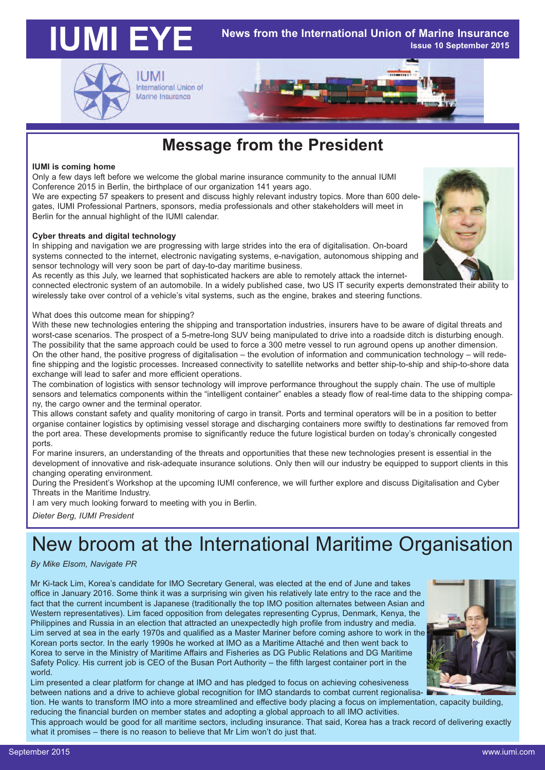### **IUMI EYE News from the International Union of Marine Insurance Issue 10 September 2015**



**IUMI** International Union of Marine Insurance

### **Message from the President**

#### **IUMI is coming home**

Only a few days left before we welcome the global marine insurance community to the annual IUMI Conference 2015 in Berlin, the birthplace of our organization 141 years ago.

We are expecting 57 speakers to present and discuss highly relevant industry topics. More than 600 delegates, IUMI Professional Partners, sponsors, media professionals and other stakeholders will meet in Berlin for the annual highlight of the IUMI calendar.

### **Cyber threats and digital technology**

In shipping and navigation we are progressing with large strides into the era of digitalisation. On-board systems connected to the internet, electronic navigating systems, e-navigation, autonomous shipping and sensor technology will very soon be part of day-to-day maritime business.

As recently as this July, we learned that sophisticated hackers are able to remotely attack the internet-

connected electronic system of an automobile. In a widely published case, two US IT security experts demonstrated their ability to wirelessly take over control of a vehicle's vital systems, such as the engine, brakes and steering functions.

What does this outcome mean for shipping?

With these new technologies entering the shipping and transportation industries, insurers have to be aware of digital threats and worst-case scenarios. The prospect of a 5-metre-long SUV being manipulated to drive into a roadside ditch is disturbing enough. The possibility that the same approach could be used to force a 300 metre vessel to run aground opens up another dimension. On the other hand, the positive progress of digitalisation – the evolution of information and communication technology – will redefine shipping and the logistic processes. Increased connectivity to satellite networks and better ship-to-ship and ship-to-shore data exchange will lead to safer and more efficient operations.

The combination of logistics with sensor technology will improve performance throughout the supply chain. The use of multiple sensors and telematics components within the "intelligent container" enables a steady flow of real-time data to the shipping company, the cargo owner and the terminal operator.

This allows constant safety and quality monitoring of cargo in transit. Ports and terminal operators will be in a position to better organise container logistics by optimising vessel storage and discharging containers more swiftly to destinations far removed from the port area. These developments promise to significantly reduce the future logistical burden on today's chronically congested ports.

For marine insurers, an understanding of the threats and opportunities that these new technologies present is essential in the development of innovative and risk-adequate insurance solutions. Only then will our industry be equipped to support clients in this changing operating environment.

During the President's Workshop at the upcoming IUMI conference, we will further explore and discuss Digitalisation and Cyber Threats in the Maritime Industry.

I am very much looking forward to meeting with you in Berlin.

*Dieter Berg, IUMI President*

# New broom at the International Maritime Organisation

### *By Mike Elsom, Navigate PR*

Mr Ki-tack Lim, Korea's candidate for IMO Secretary General, was elected at the end of June and takes office in January 2016. Some think it was a surprising win given his relatively late entry to the race and the fact that the current incumbent is Japanese (traditionally the top IMO position alternates between Asian and Western representatives). Lim faced opposition from delegates representing Cyprus, Denmark, Kenya, the Philippines and Russia in an election that attracted an unexpectedly high profile from industry and media. Lim served at sea in the early 1970s and qualified as a Master Mariner before coming ashore to work in the Korean ports sector. In the early 1990s he worked at IMO as a Maritime Attaché and then went back to Korea to serve in the Ministry of Maritime Affairs and Fisheries as DG Public Relations and DG Maritime Safety Policy. His current job is CEO of the Busan Port Authority – the fifth largest container port in the world.



Lim presented a clear platform for change at IMO and has pledged to focus on achieving cohesiveness between nations and a drive to achieve global recognition for IMO standards to combat current regionalisa-

tion. He wants to transform IMO into a more streamlined and effective body placing a focus on implementation, capacity building, reducing the financial burden on member states and adopting a global approach to all IMO activities.

This approach would be good for all maritime sectors, including insurance. That said, Korea has a track record of delivering exactly what it promises – there is no reason to believe that Mr Lim won't do just that.

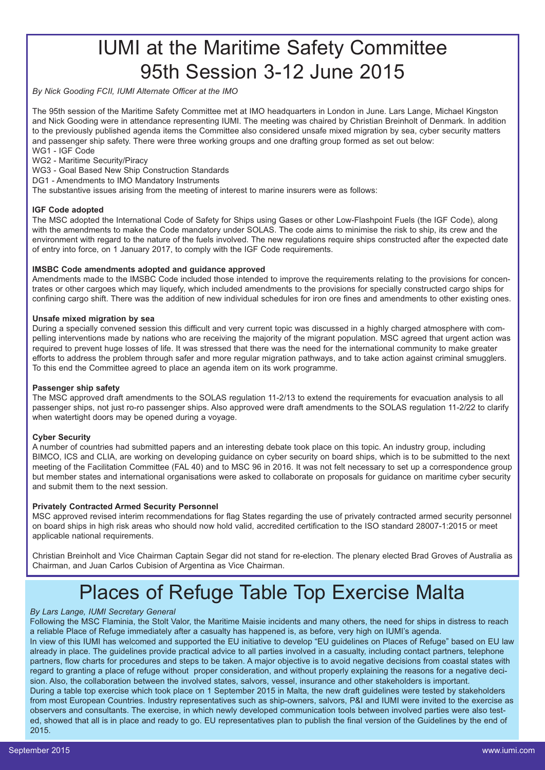### IUMI at the Maritime Safety Committee 95th Session 3-12 June 2015

*By Nick Gooding FCII, IUMI Alternate Officer at the IMO*

The 95th session of the Maritime Safety Committee met at IMO headquarters in London in June. Lars Lange, Michael Kingston and Nick Gooding were in attendance representing IUMI. The meeting was chaired by Christian Breinholt of Denmark. In addition to the previously published agenda items the Committee also considered unsafe mixed migration by sea, cyber security matters and passenger ship safety. There were three working groups and one drafting group formed as set out below: WG1 - IGF Code

WG2 - Maritime Security/Piracy

WG3 - Goal Based New Ship Construction Standards

DG1 - Amendments to IMO Mandatory Instruments

The substantive issues arising from the meeting of interest to marine insurers were as follows:

### **IGF Code adopted**

The MSC adopted the International Code of Safety for Ships using Gases or other Low-Flashpoint Fuels (the IGF Code), along with the amendments to make the Code mandatory under SOLAS. The code aims to minimise the risk to ship, its crew and the environment with regard to the nature of the fuels involved. The new regulations require ships constructed after the expected date of entry into force, on 1 January 2017, to comply with the IGF Code requirements.

### **IMSBC Code amendments adopted and guidance approved**

Amendments made to the IMSBC Code included those intended to improve the requirements relating to the provisions for concentrates or other cargoes which may liquefy, which included amendments to the provisions for specially constructed cargo ships for confining cargo shift. There was the addition of new individual schedules for iron ore fines and amendments to other existing ones.

#### **Unsafe mixed migration by sea**

During a specially convened session this difficult and very current topic was discussed in a highly charged atmosphere with compelling interventions made by nations who are receiving the majority of the migrant population. MSC agreed that urgent action was required to prevent huge losses of life. It was stressed that there was the need for the international community to make greater efforts to address the problem through safer and more regular migration pathways, and to take action against criminal smugglers. To this end the Committee agreed to place an agenda item on its work programme.

#### **Passenger ship safety**

The MSC approved draft amendments to the SOLAS regulation 11-2/13 to extend the requirements for evacuation analysis to all passenger ships, not just ro-ro passenger ships. Also approved were draft amendments to the SOLAS regulation 11-2/22 to clarify when watertight doors may be opened during a voyage.

#### **Cyber Security**

A number of countries had submitted papers and an interesting debate took place on this topic. An industry group, including BIMCO, ICS and CLIA, are working on developing guidance on cyber security on board ships, which is to be submitted to the next meeting of the Facilitation Committee (FAL 40) and to MSC 96 in 2016. It was not felt necessary to set up a correspondence group but member states and international organisations were asked to collaborate on proposals for guidance on maritime cyber security and submit them to the next session.

### **Privately Contracted Armed Security Personnel**

MSC approved revised interim recommendations for flag States regarding the use of privately contracted armed security personnel on board ships in high risk areas who should now hold valid, accredited certification to the ISO standard 28007-1:2015 or meet applicable national requirements.

Christian Breinholt and Vice Chairman Captain Segar did not stand for re-election. The plenary elected Brad Groves of Australia as Chairman, and Juan Carlos Cubision of Argentina as Vice Chairman.

### Places of Refuge Table Top Exercise Malta

#### *By Lars Lange, IUMI Secretary General*

Following the MSC Flaminia, the Stolt Valor, the Maritime Maisie incidents and many others, the need for ships in distress to reach a reliable Place of Refuge immediately after a casualty has happened is, as before, very high on IUMI's agenda.

In view of this IUMI has welcomed and supported the EU initiative to develop "EU guidelines on Places of Refuge" based on EU law already in place. The guidelines provide practical advice to all parties involved in a casualty, including contact partners, telephone partners, flow charts for procedures and steps to be taken. A major objective is to avoid negative decisions from coastal states with regard to granting a place of refuge without proper consideration, and without properly explaining the reasons for a negative decision. Also, the collaboration between the involved states, salvors, vessel, insurance and other stakeholders is important. During a table top exercise which took place on 1 September 2015 in Malta, the new draft guidelines were tested by stakeholders from most European Countries. Industry representatives such as ship-owners, salvors, P&I and IUMI were invited to the exercise as

observers and consultants. The exercise, in which newly developed communication tools between involved parties were also tested, showed that all is in place and ready to go. EU representatives plan to publish the final version of the Guidelines by the end of 2015.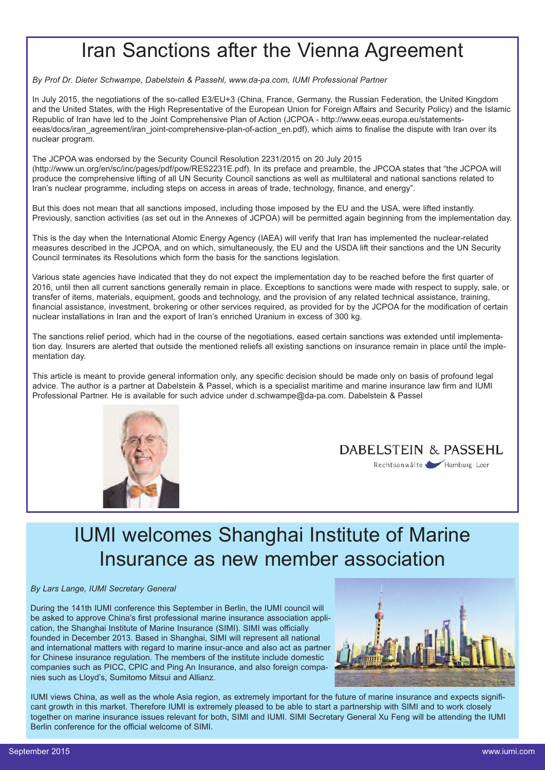### Iran Sanctions after the Vienna Agreement

*By Prof Dr. Dieter Schwampe, Dabelstein & Passehl, www.da-pa.com, IUMI Professional Partner*

In July 2015, the negotiations of the so-called E3/EU+3 (China, France, Germany, the Russian Federation, the United Kingdom and the United States, with the High Representative of the European Union for Foreign Affairs and Security Policy) and the Islamic Republic of Iran have led to the Joint Comprehensive Plan of Action (JCPOA - [http://www.eeas.europa.eu/statements](http://www.eeas.europa.eu/statements-eeas/docs/iran_agreement/iran_joint-comprehensive-plan-of-action_en.pdf)[eeas/docs/iran\\_agreement/iran\\_joint-comprehensive-plan-of-action\\_en.pdf\)](http://www.eeas.europa.eu/statements-eeas/docs/iran_agreement/iran_joint-comprehensive-plan-of-action_en.pdf), which aims to finalise the dispute with Iran over its nuclear program.

The JCPOA was endorsed by the Security Council Resolution 2231/2015 on 20 July 2015 [\(http://www.un.org/en/sc/inc/pages/pdf/pow/RES2231E.pdf\)](http://www.un.org/en/sc/inc/pages/pdf/pow/RES2231E.pdf). In its preface and preamble, the JPCOA states that "the JCPOA will produce the comprehensive lifting of all UN Security Council sanctions as well as multilateral and national sanctions related to Iran's nuclear programme, including steps on access in areas of trade, technology, finance, and energy".

But this does not mean that all sanctions imposed, including those imposed by the EU and the USA, were lifted instantly. Previously, sanction activities (as set out in the Annexes of JCPOA) will be permitted again beginning from the implementation day.

This is the day when the International Atomic Energy Agency (IAEA) will verify that Iran has implemented the nuclear-related measures described in the JCPOA, and on which, simultaneously, the EU and the USDA lift their sanctions and the UN Security Council terminates its Resolutions which form the basis for the sanctions legislation.

Various state agencies have indicated that they do not expect the implementation day to be reached before the first quarter of 2016, until then all current sanctions generally remain in place. Exceptions to sanctions were made with respect to supply, sale, or transfer of items, materials, equipment, goods and technology, and the provision of any related technical assistance, training, financial assistance, investment, brokering or other services required, as provided for by the JCPOA for the modification of certain nuclear installations in Iran and the export of Iran's enriched Uranium in excess of 300 kg.

The sanctions relief period, which had in the course of the negotiations, eased certain sanctions was extended until implementation day. Insurers are alerted that outside the mentioned reliefs all existing sanctions on insurance remain in place until the implementation day.

This article is meant to provide general information only, any specific decision should be made only on basis of profound legal advice. The author is a partner at Dabelstein & Passel, which is a specialist maritime and marine insurance law firm and IUMI Professional Partner. He is available for such advice under d.schwampe@da-pa.com. Dabelstein & Passel





### IUMI welcomes Shanghai Institute of Marine Insurance as new member association

#### *By Lars Lange, IUMI Secretary General*

During the 141th IUMI conference this September in Berlin, the IUMI council will be asked to approve China's first professional marine insurance association application, the Shanghai Institute of Marine Insurance (SIMI). SIMI was officially founded in December 2013. Based in Shanghai, SIMI will represent all national and international matters with regard to marine insur-ance and also act as partner for Chinese insurance regulation. The members of the institute include domestic companies such as PICC, CPIC and Ping An Insurance, and also foreign companies such as Lloyd's, Sumitomo Mitsui and Allianz.



IUMI views China, as well as the whole Asia region, as extremely important for the future of marine insurance and expects significant growth in this market. Therefore IUMI is extremely pleased to be able to start a partnership with SIMI and to work closely together on marine insurance issues relevant for both, SIMI and IUMI. SIMI Secretary General Xu Feng will be attending the IUMI Berlin conference for the official welcome of SIMI.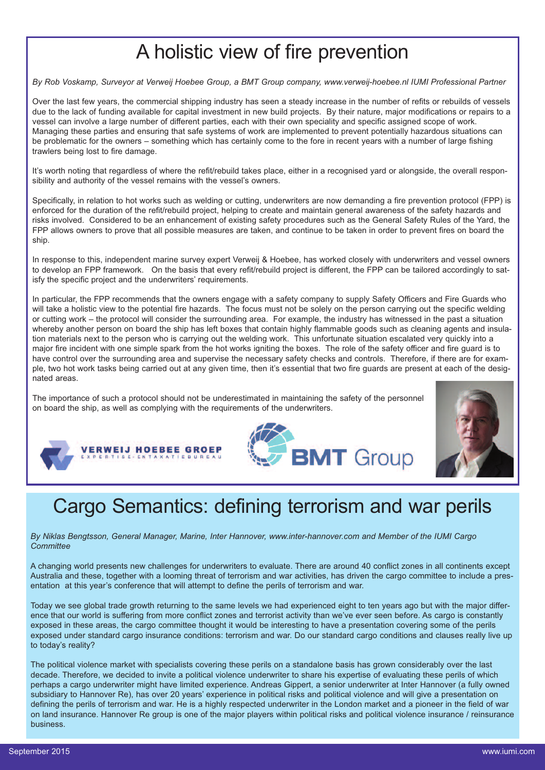# A holistic view of fire prevention

By Rob Voskamp, Surveyor at Verweij Hoebee Group, a BMT Group company, www.verweij-hoebee.nl IUMI Professional Partner

Over the last few years, the commercial shipping industry has seen a steady increase in the number of refits or rebuilds of vessels due to the lack of funding available for capital investment in new build projects. By their nature, major modifications or repairs to a vessel can involve a large number of different parties, each with their own speciality and specific assigned scope of work. Managing these parties and ensuring that safe systems of work are implemented to prevent potentially hazardous situations can be problematic for the owners – something which has certainly come to the fore in recent years with a number of large fishing trawlers being lost to fire damage.

It's worth noting that regardless of where the refit/rebuild takes place, either in a recognised yard or alongside, the overall responsibility and authority of the vessel remains with the vessel's owners.

Specifically, in relation to hot works such as welding or cutting, underwriters are now demanding a fire prevention protocol (FPP) is enforced for the duration of the refit/rebuild project, helping to create and maintain general awareness of the safety hazards and risks involved. Considered to be an enhancement of existing safety procedures such as the General Safety Rules of the Yard, the FPP allows owners to prove that all possible measures are taken, and continue to be taken in order to prevent fires on board the ship.

In response to this, independent marine survey expert Verweij & Hoebee, has worked closely with underwriters and vessel owners to develop an FPP framework. On the basis that every refit/rebuild project is different, the FPP can be tailored accordingly to satisfy the specific project and the underwriters' requirements.

In particular, the FPP recommends that the owners engage with a safety company to supply Safety Officers and Fire Guards who will take a holistic view to the potential fire hazards. The focus must not be solely on the person carrying out the specific welding or cutting work – the protocol will consider the surrounding area. For example, the industry has witnessed in the past a situation whereby another person on board the ship has left boxes that contain highly flammable goods such as cleaning agents and insulation materials next to the person who is carrying out the welding work. This unfortunate situation escalated very quickly into a major fire incident with one simple spark from the hot works igniting the boxes. The role of the safety officer and fire guard is to have control over the surrounding area and supervise the necessary safety checks and controls. Therefore, if there are for example, two hot work tasks being carried out at any given time, then it's essential that two fire guards are present at each of the designated areas.

The importance of such a protocol should not be underestimated in maintaining the safety of the personnel on board the ship, as well as complying with the requirements of the underwriters.







### Cargo Semantics: defining terrorism and war perils

### *By Niklas Bengtsson, General Manager, Marine, Inter Hannover, www.inter-hannover.com and Member of the IUMI Cargo Committee*

A changing world presents new challenges for underwriters to evaluate. There are around 40 conflict zones in all continents except Australia and these, together with a looming threat of terrorism and war activities, has driven the cargo committee to include a presentation at this year's conference that will attempt to define the perils of terrorism and war.

Today we see global trade growth returning to the same levels we had experienced eight to ten years ago but with the major difference that our world is suffering from more conflict zones and terrorist activity than we've ever seen before. As cargo is constantly exposed in these areas, the cargo committee thought it would be interesting to have a presentation covering some of the perils exposed under standard cargo insurance conditions: terrorism and war. Do our standard cargo conditions and clauses really live up to today's reality?

The political violence market with specialists covering these perils on a standalone basis has grown considerably over the last decade. Therefore, we decided to invite a political violence underwriter to share his expertise of evaluating these perils of which perhaps a cargo underwriter might have limited experience. Andreas Gippert, a senior underwriter at Inter Hannover (a fully owned subsidiary to Hannover Re), has over 20 years' experience in political risks and political violence and will give a presentation on defining the perils of terrorism and war. He is a highly respected underwriter in the London market and a pioneer in the field of war on land insurance. Hannover Re group is one of the major players within political risks and political violence insurance / reinsurance business.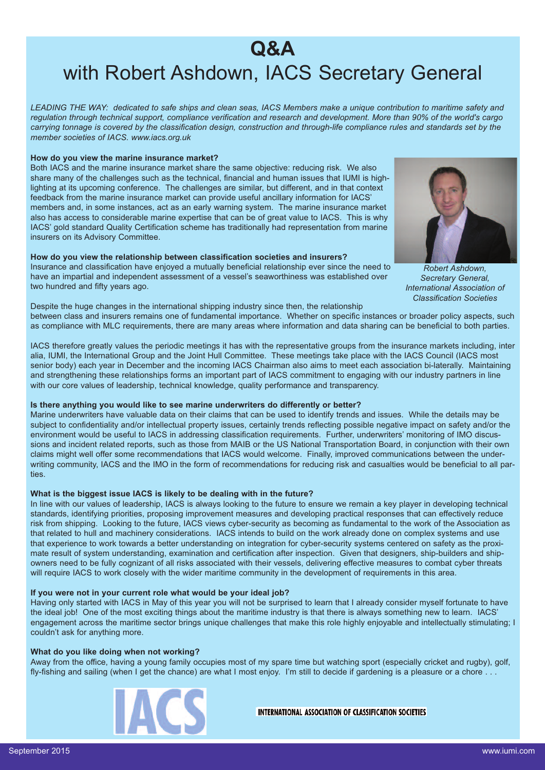### **Q&A** with Robert Ashdown, IACS Secretary General

LEADING THE WAY: dedicated to safe ships and clean seas, IACS Members make a unique contribution to maritime safety and regulation through technical support, compliance verification and research and development. More than 90% of the world's cargo carrying tonnage is covered by the classification design, construction and through-life compliance rules and standards set by the *member societies of IACS. www.iacs.org.uk*

### **How do you view the marine insurance market?**

Both IACS and the marine insurance market share the same objective: reducing risk. We also share many of the challenges such as the technical, financial and human issues that IUMI is highlighting at its upcoming conference. The challenges are similar, but different, and in that context feedback from the marine insurance market can provide useful ancillary information for IACS' members and, in some instances, act as an early warning system. The marine insurance market also has access to considerable marine expertise that can be of great value to IACS. This is why IACS' gold standard Quality Certification scheme has traditionally had representation from marine insurers on its Advisory Committee.

#### **How do you view the relationship between classification societies and insurers?**

Insurance and classification have enjoyed a mutually beneficial relationship ever since the need to have an impartial and independent assessment of a vessel's seaworthiness was established over two hundred and fifty years ago.



*Robert Ashdown, Secretary General, International Association of Classification Societies*

Despite the huge changes in the international shipping industry since then, the relationship between class and insurers remains one of fundamental importance. Whether on specific instances or broader policy aspects, such as compliance with MLC requirements, there are many areas where information and data sharing can be beneficial to both parties.

IACS therefore greatly values the periodic meetings it has with the representative groups from the insurance markets including, inter alia, IUMI, the International Group and the Joint Hull Committee. These meetings take place with the IACS Council (IACS most senior body) each year in December and the incoming IACS Chairman also aims to meet each association bi-laterally. Maintaining and strengthening these relationships forms an important part of IACS commitment to engaging with our industry partners in line with our core values of leadership, technical knowledge, quality performance and transparency.

### **Is there anything you would like to see marine underwriters do differently or better?**

Marine underwriters have valuable data on their claims that can be used to identify trends and issues. While the details may be subject to confidentiality and/or intellectual property issues, certainly trends reflecting possible negative impact on safety and/or the environment would be useful to IACS in addressing classification requirements. Further, underwriters' monitoring of IMO discussions and incident related reports, such as those from MAIB or the US National Transportation Board, in conjunction with their own claims might well offer some recommendations that IACS would welcome. Finally, improved communications between the underwriting community, IACS and the IMO in the form of recommendations for reducing risk and casualties would be beneficial to all parties.

### **What is the biggest issue IACS is likely to be dealing with in the future?**

In line with our values of leadership, IACS is always looking to the future to ensure we remain a key player in developing technical standards, identifying priorities, proposing improvement measures and developing practical responses that can effectively reduce risk from shipping. Looking to the future, IACS views cyber-security as becoming as fundamental to the work of the Association as that related to hull and machinery considerations. IACS intends to build on the work already done on complex systems and use that experience to work towards a better understanding on integration for cyber-security systems centered on safety as the proximate result of system understanding, examination and certification after inspection. Given that designers, ship-builders and shipowners need to be fully cognizant of all risks associated with their vessels, delivering effective measures to combat cyber threats will require IACS to work closely with the wider maritime community in the development of requirements in this area.

#### **If you were not in your current role what would be your ideal job?**

Having only started with IACS in May of this year you will not be surprised to learn that I already consider myself fortunate to have the ideal job! One of the most exciting things about the maritime industry is that there is always something new to learn. IACS' engagement across the maritime sector brings unique challenges that make this role highly enjoyable and intellectually stimulating; I couldn't ask for anything more.

#### **What do you like doing when not working?**

Away from the office, having a young family occupies most of my spare time but watching sport (especially cricket and rugby), golf, fly-fishing and sailing (when I get the chance) are what I most enjoy. I'm still to decide if gardening is a pleasure or a chore . . .



**INTERNATIONAL ASSOCIATION OF CLASSIFICATION SOCIETIES**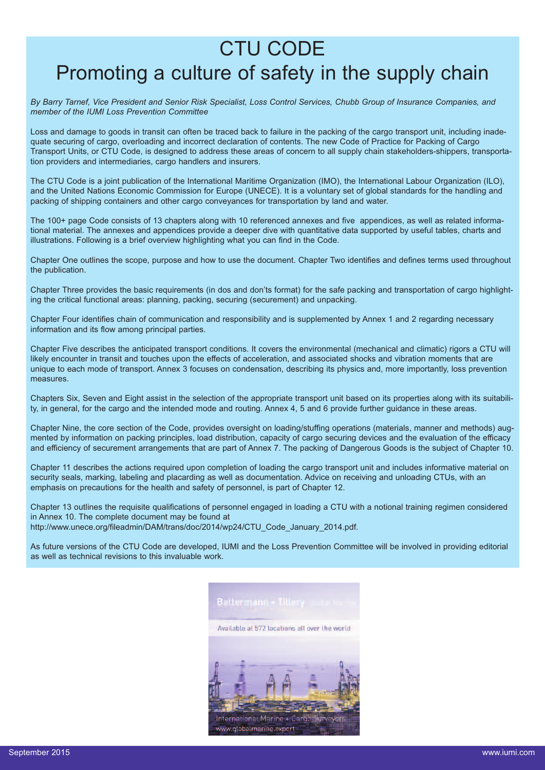### CTU CODE

### Promoting a culture of safety in the supply chain

By Barry Tarnef, Vice President and Senior Risk Specialist, Loss Control Services, Chubb Group of Insurance Companies, and *member of the IUMI Loss Prevention Committee*

Loss and damage to goods in transit can often be traced back to failure in the packing of the cargo transport unit, including inadequate securing of cargo, overloading and incorrect declaration of contents. The new Code of Practice for Packing of Cargo Transport Units, or CTU Code, is designed to address these areas of concern to all supply chain stakeholders-shippers, transportation providers and intermediaries, cargo handlers and insurers.

The CTU Code is a joint publication of the International Maritime Organization (IMO), the International Labour Organization (ILO), and the United Nations Economic Commission for Europe (UNECE). It is a voluntary set of global standards for the handling and packing of shipping containers and other cargo conveyances for transportation by land and water.

The 100+ page Code consists of 13 chapters along with 10 referenced annexes and five appendices, as well as related informational material. The annexes and appendices provide a deeper dive with quantitative data supported by useful tables, charts and illustrations. Following is a brief overview highlighting what you can find in the Code.

Chapter One outlines the scope, purpose and how to use the document. Chapter Two identifies and defines terms used throughout the publication.

Chapter Three provides the basic requirements (in dos and don'ts format) for the safe packing and transportation of cargo highlighting the critical functional areas: planning, packing, securing (securement) and unpacking.

Chapter Four identifies chain of communication and responsibility and is supplemented by Annex 1 and 2 regarding necessary information and its flow among principal parties.

Chapter Five describes the anticipated transport conditions. It covers the environmental (mechanical and climatic) rigors a CTU will likely encounter in transit and touches upon the effects of acceleration, and associated shocks and vibration moments that are unique to each mode of transport. Annex 3 focuses on condensation, describing its physics and, more importantly, loss prevention measures.

Chapters Six, Seven and Eight assist in the selection of the appropriate transport unit based on its properties along with its suitability, in general, for the cargo and the intended mode and routing. Annex 4, 5 and 6 provide further guidance in these areas.

Chapter Nine, the core section of the Code, provides oversight on loading/stuffing operations (materials, manner and methods) augmented by information on packing principles, load distribution, capacity of cargo securing devices and the evaluation of the efficacy and efficiency of securement arrangements that are part of Annex 7. The packing of Dangerous Goods is the subject of Chapter 10.

Chapter 11 describes the actions required upon completion of loading the cargo transport unit and includes informative material on security seals, marking, labeling and placarding as well as documentation. Advice on receiving and unloading CTUs, with an emphasis on precautions for the health and safety of personnel, is part of Chapter 12.

Chapter 13 outlines the requisite qualifications of personnel engaged in loading a CTU with a notional training regimen considered in Annex 10. The complete document may be found at [http://www.unece.org/fileadmin/DAM/trans/doc/2014/wp24/CTU\\_Code\\_January\\_2014.pdf.](http://www.unece.org/fileadmin/DAM/trans/doc/2014/wp24/CTU_Code_January_2014.pdf )

As future versions of the CTU Code are developed, IUMI and the Loss Prevention Committee will be involved in providing editorial as well as technical revisions to this invaluable work.

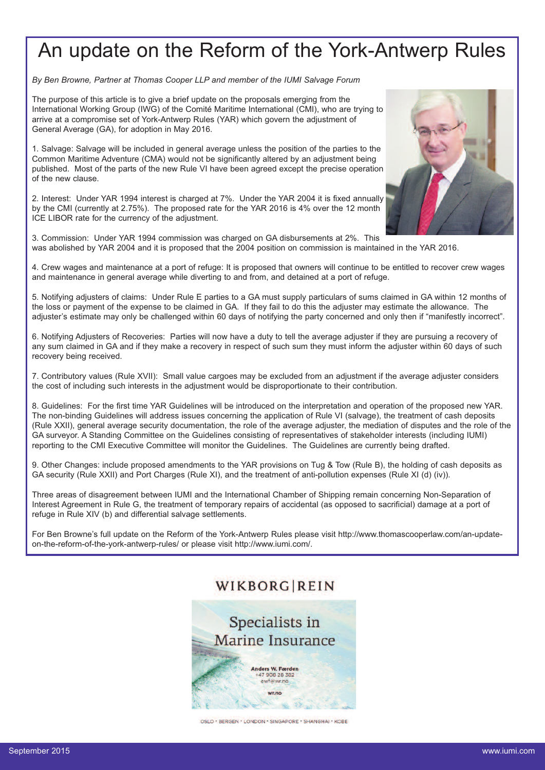# An update on the Reform of the York-Antwerp Rules

*By Ben Browne, Partner at Thomas Cooper LLP and member of the IUMI Salvage Forum*

The purpose of this article is to give a brief update on the proposals emerging from the International Working Group (IWG) of the Comité Maritime International (CMI), who are trying to arrive at a compromise set of York-Antwerp Rules (YAR) which govern the adjustment of General Average (GA), for adoption in May 2016.

1. Salvage: Salvage will be included in general average unless the position of the parties to the Common Maritime Adventure (CMA) would not be significantly altered by an adjustment being published. Most of the parts of the new Rule VI have been agreed except the precise operation of the new clause.

2. Interest: Under YAR 1994 interest is charged at 7%. Under the YAR 2004 it is fixed annually by the CMI (currently at 2.75%). The proposed rate for the YAR 2016 is 4% over the 12 month ICE LIBOR rate for the currency of the adjustment.

3. Commission: Under YAR 1994 commission was charged on GA disbursements at 2%. This was abolished by YAR 2004 and it is proposed that the 2004 position on commission is maintained in the YAR 2016.

4. Crew wages and maintenance at a port of refuge: It is proposed that owners will continue to be entitled to recover crew wages and maintenance in general average while diverting to and from, and detained at a port of refuge.

5. Notifying adjusters of claims: Under Rule E parties to a GA must supply particulars of sums claimed in GA within 12 months of the loss or payment of the expense to be claimed in GA. If they fail to do this the adjuster may estimate the allowance. The adjuster's estimate may only be challenged within 60 days of notifying the party concerned and only then if "manifestly incorrect".

6. Notifying Adjusters of Recoveries: Parties will now have a duty to tell the average adjuster if they are pursuing a recovery of any sum claimed in GA and if they make a recovery in respect of such sum they must inform the adjuster within 60 days of such recovery being received.

7. Contributory values (Rule XVII): Small value cargoes may be excluded from an adjustment if the average adjuster considers the cost of including such interests in the adjustment would be disproportionate to their contribution.

8. Guidelines: For the first time YAR Guidelines will be introduced on the interpretation and operation of the proposed new YAR. The non-binding Guidelines will address issues concerning the application of Rule VI (salvage), the treatment of cash deposits (Rule XXII), general average security documentation, the role of the average adjuster, the mediation of disputes and the role of the GA surveyor. A Standing Committee on the Guidelines consisting of representatives of stakeholder interests (including IUMI) reporting to the CMI Executive Committee will monitor the Guidelines. The Guidelines are currently being drafted.

9. Other Changes: include proposed amendments to the YAR provisions on Tug & Tow (Rule B), the holding of cash deposits as GA security (Rule XXII) and Port Charges (Rule XI), and the treatment of anti-pollution expenses (Rule XI (d) (iv)).

Three areas of disagreement between IUMI and the International Chamber of Shipping remain concerning Non-Separation of Interest Agreement in Rule G, the treatment of temporary repairs of accidental (as opposed to sacrificial) damage at a port of refuge in Rule XIV (b) and differential salvage settlements.

For Ben Browne's full update on the Reform of the York-Antwerp Rules please visit [http://www.thomascooperlaw.com/an-update](http://www.thomascooperlaw.com/an-update-on-the-reform-of-the-york-antwerp-rules/)[on-the-reform-of-the-york-antwerp-rules/](http://www.thomascooperlaw.com/an-update-on-the-reform-of-the-york-antwerp-rules/) or please visit [http://www.iumi.com/.](http://www.iumi.com/)

### WIKBORGIREIN



OSLO · BERGEN · LONDON · SINGAPORE · SHANGHAI · KOBE

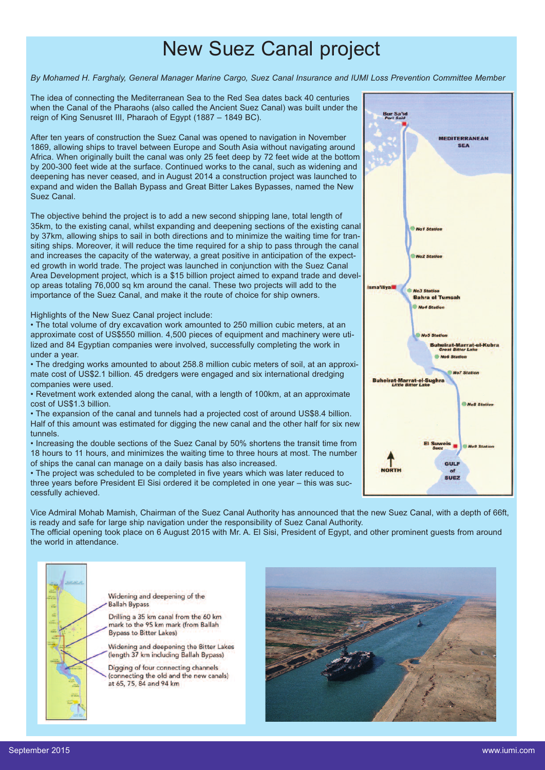### New Suez Canal project

By Mohamed H. Farghaly, General Manager Marine Cargo, Suez Canal Insurance and IUMI Loss Prevention Committee Member

The idea of connecting the Mediterranean Sea to the Red Sea dates back 40 centuries when the Canal of the Pharaohs (also called the Ancient Suez Canal) was built under the reign of King Senusret III, Pharaoh of Egypt (1887 – 1849 BC).

After ten years of construction the Suez Canal was opened to navigation in November 1869, allowing ships to travel between Europe and South Asia without navigating around Africa. When originally built the canal was only 25 feet deep by 72 feet wide at the bottom by 200-300 feet wide at the surface. Continued works to the canal, such as widening and deepening has never ceased, and in August 2014 a construction project was launched to expand and widen the Ballah Bypass and Great Bitter Lakes Bypasses, named the New Suez Canal.

The objective behind the project is to add a new second shipping lane, total length of 35km, to the existing canal, whilst expanding and deepening sections of the existing canal by 37km, allowing ships to sail in both directions and to minimize the waiting time for transiting ships. Moreover, it will reduce the time required for a ship to pass through the canal and increases the capacity of the waterway, a great positive in anticipation of the expected growth in world trade. The project was launched in conjunction with the Suez Canal Area Development project, which is a \$15 billion project aimed to expand trade and develop areas totaling 76,000 sq km around the canal. These two projects will add to the importance of the Suez Canal, and make it the route of choice for ship owners.

Highlights of the New Suez Canal project include:

• The total volume of dry excavation work amounted to 250 million cubic meters, at an approximate cost of US\$550 million. 4,500 pieces of equipment and machinery were utilized and 84 Egyptian companies were involved, successfully completing the work in under a year.

• The dredging works amounted to about 258.8 million cubic meters of soil, at an approximate cost of US\$2.1 billion. 45 dredgers were engaged and six international dredging companies were used.

• Revetment work extended along the canal, with a length of 100km, at an approximate cost of US\$1.3 billion.

• The expansion of the canal and tunnels had a projected cost of around US\$8.4 billion. Half of this amount was estimated for digging the new canal and the other half for six new tunnels.

• Increasing the double sections of the Suez Canal by 50% shortens the transit time from 18 hours to 11 hours, and minimizes the waiting time to three hours at most. The number of ships the canal can manage on a daily basis has also increased.

• The project was scheduled to be completed in five years which was later reduced to three years before President El Sisi ordered it be completed in one year – this was successfully achieved.

Vice Admiral Mohab Mamish, Chairman of the Suez Canal Authority has announced that the new Suez Canal, with a depth of 66ft, is ready and safe for large ship navigation under the responsibility of Suez Canal Authority. The official opening took place on 6 August 2015 with Mr. A. El Sisi, President of Egypt, and other prominent guests from around

the world in attendance.



Widening and deepening of the **Ballah Bypass** 

Drilling a 35 km canal from the 60 km mark to the 95 km mark (from Ballah **Bypass to Bitter Lakes)** 

Widening and deepening the Bitter Lakes (length 37 km including Ballah Bypass)

Digging of four connecting channels (connecting the old and the new canals) at 65, 75, 84 and 94 km



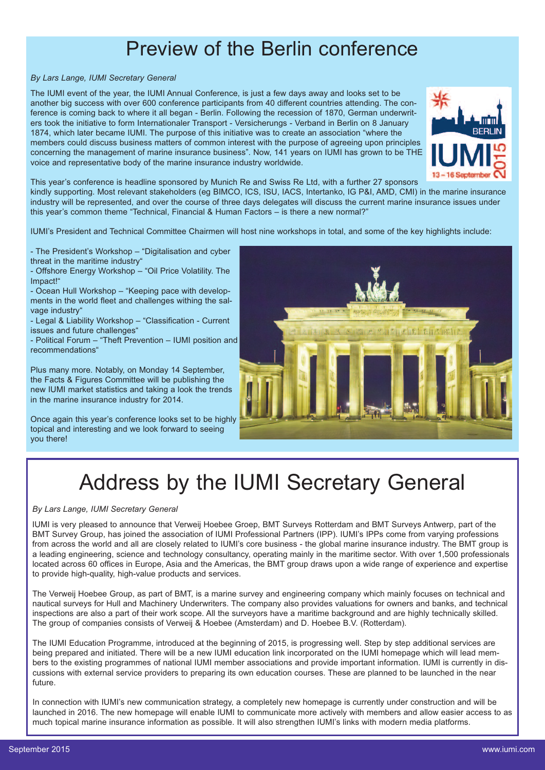### Preview of the Berlin conference

### *By Lars Lange, IUMI Secretary General*

The IUMI event of the year, the IUMI Annual Conference, is just a few days away and looks set to be another big success with over 600 conference participants from 40 different countries attending. The conference is coming back to where it all began - Berlin. Following the recession of 1870, German underwriters took the initiative to form Internationaler Transport - Versicherungs - Verband in Berlin on 8 January 1874, which later became IUMI. The purpose of this initiative was to create an association "where the members could discuss business matters of common interest with the purpose of agreeing upon principles concerning the management of marine insurance business". Now, 141 years on IUMI has grown to be THE voice and representative body of the marine insurance industry worldwide.



This year's conference is headline sponsored by Munich Re and Swiss Re Ltd, with a further 27 sponsors

kindly supporting. Most relevant stakeholders (eg BIMCO, ICS, ISU, IACS, Intertanko, IG P&I, AMD, CMI) in the marine insurance industry will be represented, and over the course of three days delegates will discuss the current marine insurance issues under this year's common theme "Technical, Financial & Human Factors – is there a new normal?"

IUMI's President and Technical Committee Chairmen will host nine workshops in total, and some of the key highlights include:

- The President's Workshop – "Digitalisation and cyber threat in the maritime industry"

- Offshore Energy Workshop – "Oil Price Volatility. The Impact!"

- Ocean Hull Workshop – "Keeping pace with developments in the world fleet and challenges withing the salvage industry"

- Legal & Liability Workshop – "Classification - Current issues and future challenges"

- Political Forum – "Theft Prevention – IUMI position and recommendations"

Plus many more. Notably, on Monday 14 September, the Facts & Figures Committee will be publishing the new IUMI market statistics and taking a look the trends in the marine insurance industry for 2014.

Once again this year's conference looks set to be highly topical and interesting and we look forward to seeing you there!



# Address by the IUMI Secretary General

#### *By Lars Lange, IUMI Secretary General*

IUMI is very pleased to announce that Verweij Hoebee Groep, BMT Surveys Rotterdam and BMT Surveys Antwerp, part of the BMT Survey Group, has joined the association of IUMI Professional Partners (IPP). IUMI's IPPs come from varying professions from across the world and all are closely related to IUMI's core business - the global marine insurance industry. The BMT group is a leading engineering, science and technology consultancy, operating mainly in the maritime sector. With over 1,500 professionals located across 60 offices in Europe, Asia and the Americas, the BMT group draws upon a wide range of experience and expertise to provide high-quality, high-value products and services.

The Verweij Hoebee Group, as part of BMT, is a marine survey and engineering company which mainly focuses on technical and nautical surveys for Hull and Machinery Underwriters. The company also provides valuations for owners and banks, and technical inspections are also a part of their work scope. All the surveyors have a maritime background and are highly technically skilled. The group of companies consists of Verweij & Hoebee (Amsterdam) and D. Hoebee B.V. (Rotterdam).

The IUMI Education Programme, introduced at the beginning of 2015, is progressing well. Step by step additional services are being prepared and initiated. There will be a new IUMI education link incorporated on the IUMI homepage which will lead members to the existing programmes of national IUMI member associations and provide important information. IUMI is currently in discussions with external service providers to preparing its own education courses. These are planned to be launched in the near future.

In connection with IUMI's new communication strategy, a completely new homepage is currently under construction and will be launched in 2016. The new homepage will enable IUMI to communicate more actively with members and allow easier access to as much topical marine insurance information as possible. It will also strengthen IUMI's links with modern media platforms.